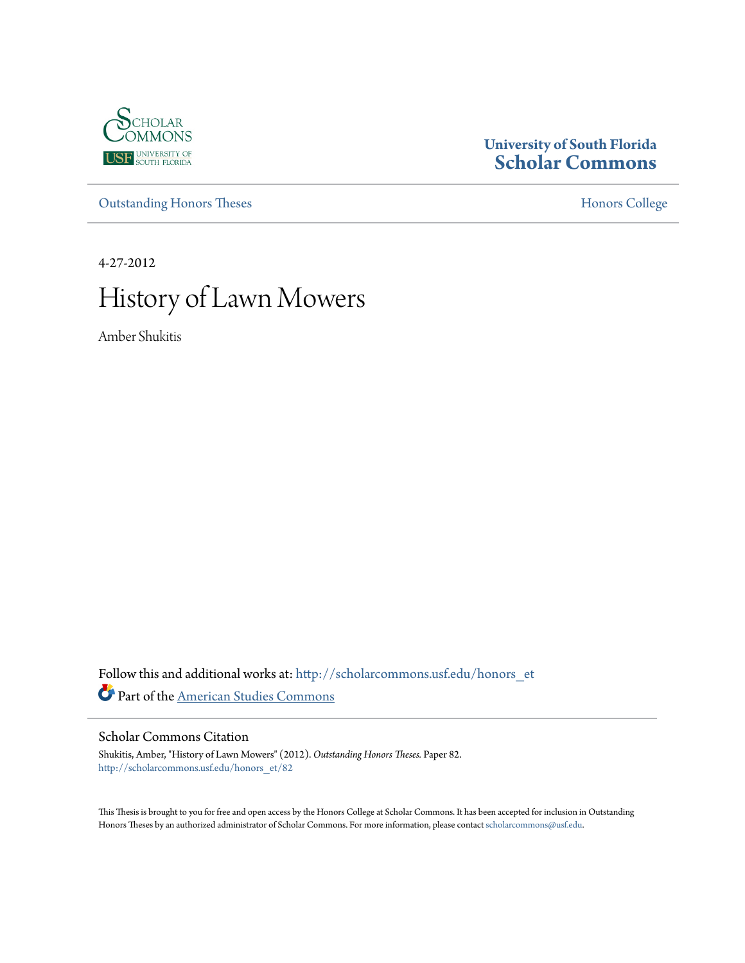

# **University of South Florida [Scholar Commons](http://scholarcommons.usf.edu?utm_source=scholarcommons.usf.edu%2Fhonors_et%2F82&utm_medium=PDF&utm_campaign=PDFCoverPages)**

[Outstanding Honors Theses](http://scholarcommons.usf.edu/honors_et?utm_source=scholarcommons.usf.edu%2Fhonors_et%2F82&utm_medium=PDF&utm_campaign=PDFCoverPages) **[Honors College](http://scholarcommons.usf.edu/honors?utm_source=scholarcommons.usf.edu%2Fhonors_et%2F82&utm_medium=PDF&utm_campaign=PDFCoverPages)** 

4-27-2012

# History of Lawn Mowers

Amber Shukitis

Follow this and additional works at: [http://scholarcommons.usf.edu/honors\\_et](http://scholarcommons.usf.edu/honors_et?utm_source=scholarcommons.usf.edu%2Fhonors_et%2F82&utm_medium=PDF&utm_campaign=PDFCoverPages) Part of the [American Studies Commons](http://network.bepress.com/hgg/discipline/439?utm_source=scholarcommons.usf.edu%2Fhonors_et%2F82&utm_medium=PDF&utm_campaign=PDFCoverPages)

Scholar Commons Citation

Shukitis, Amber, "History of Lawn Mowers" (2012). *Outstanding Honors Theses.* Paper 82. [http://scholarcommons.usf.edu/honors\\_et/82](http://scholarcommons.usf.edu/honors_et/82?utm_source=scholarcommons.usf.edu%2Fhonors_et%2F82&utm_medium=PDF&utm_campaign=PDFCoverPages)

This Thesis is brought to you for free and open access by the Honors College at Scholar Commons. It has been accepted for inclusion in Outstanding Honors Theses by an authorized administrator of Scholar Commons. For more information, please contact [scholarcommons@usf.edu.](mailto:scholarcommons@usf.edu)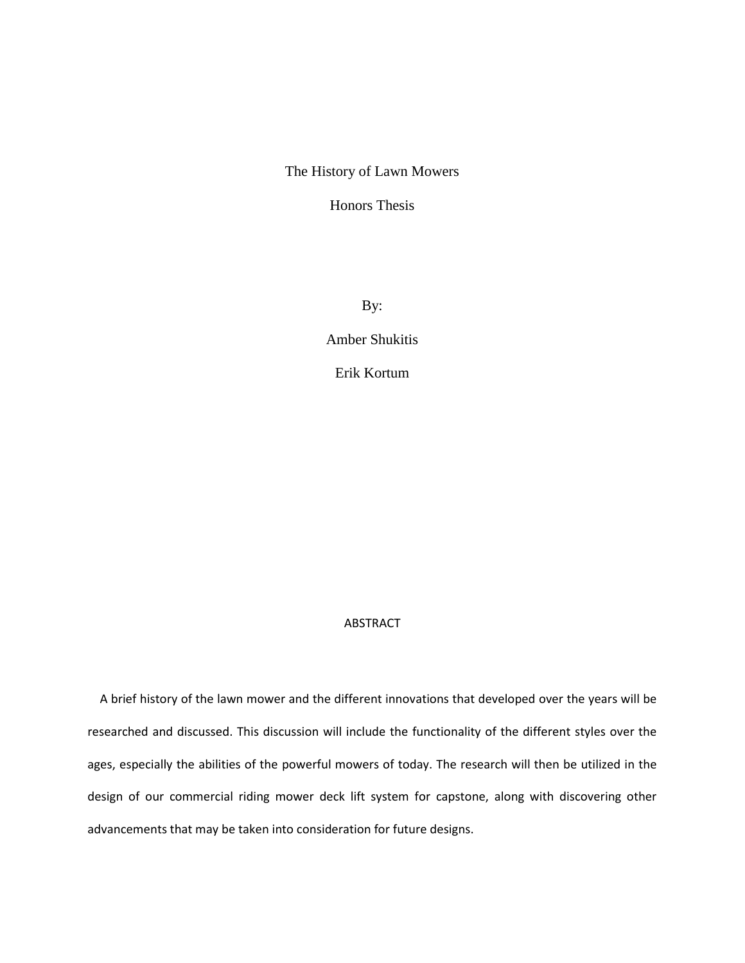## The History of Lawn Mowers

Honors Thesis

By:

Amber Shukitis

Erik Kortum

## ABSTRACT

 A brief history of the lawn mower and the different innovations that developed over the years will be researched and discussed. This discussion will include the functionality of the different styles over the ages, especially the abilities of the powerful mowers of today. The research will then be utilized in the design of our commercial riding mower deck lift system for capstone, along with discovering other advancements that may be taken into consideration for future designs.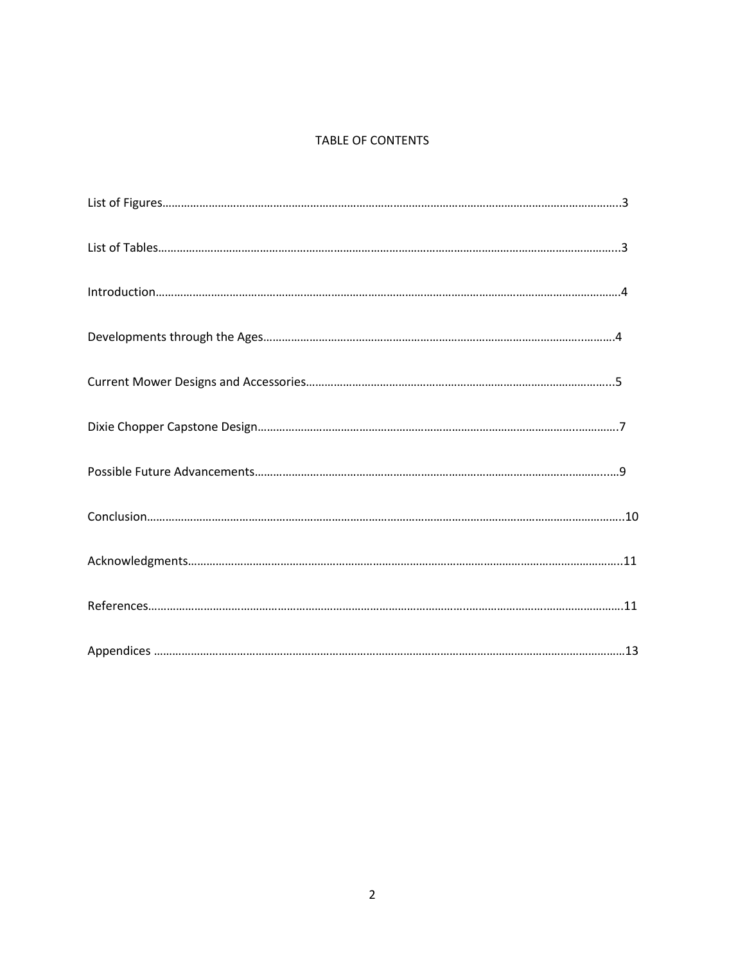## TABLE OF CONTENTS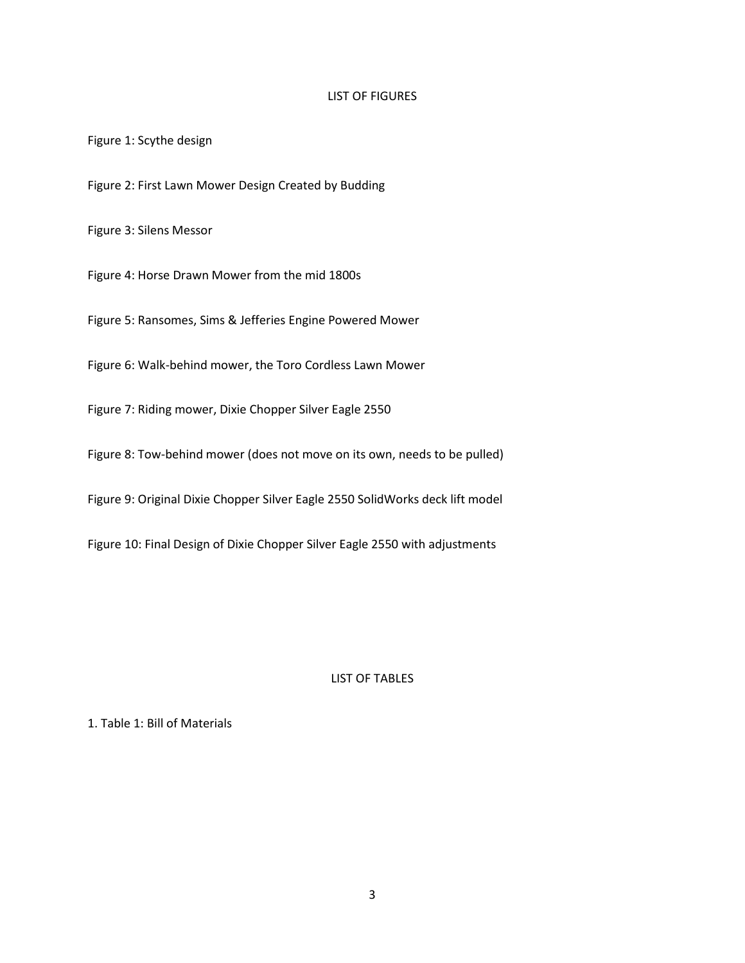## LIST OF FIGURES

Figure 1: Scythe design

Figure 2: First Lawn Mower Design Created by Budding

Figure 3: Silens Messor

Figure 4: Horse Drawn Mower from the mid 1800s

Figure 5: Ransomes, Sims & Jefferies Engine Powered Mower

Figure 6: Walk-behind mower, the Toro Cordless Lawn Mower

Figure 7: Riding mower, Dixie Chopper Silver Eagle 2550

Figure 8: Tow-behind mower (does not move on its own, needs to be pulled)

Figure 9: Original Dixie Chopper Silver Eagle 2550 SolidWorks deck lift model

Figure 10: Final Design of Dixie Chopper Silver Eagle 2550 with adjustments

## LIST OF TABLES

## 1. Table 1: Bill of Materials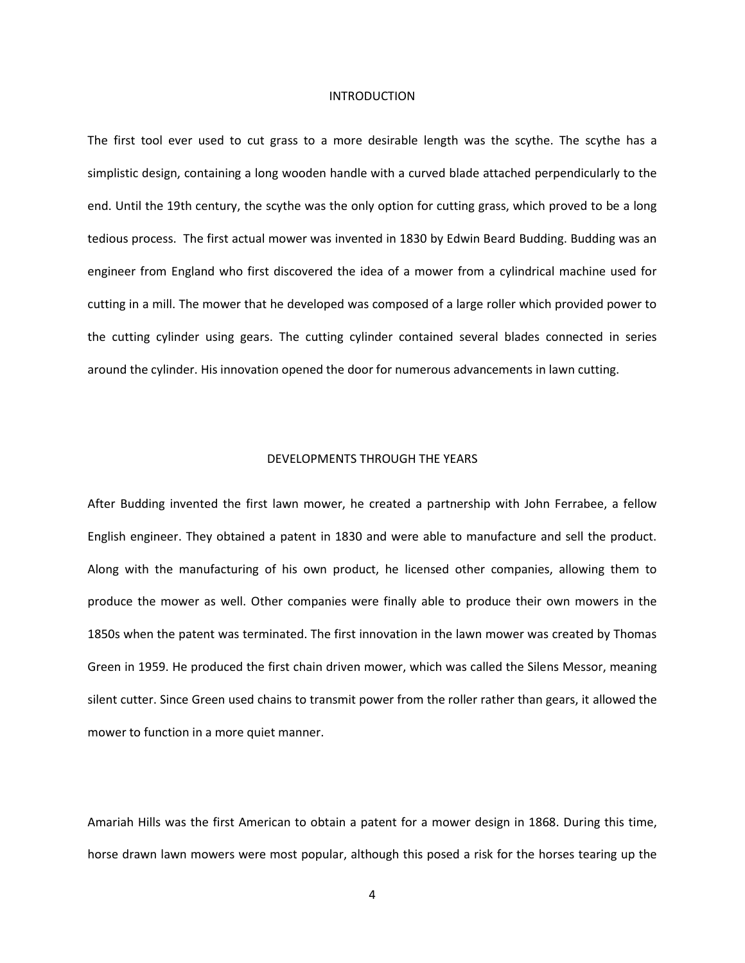#### INTRODUCTION

The first tool ever used to cut grass to a more desirable length was the scythe. The scythe has a simplistic design, containing a long wooden handle with a curved blade attached perpendicularly to the end. Until the 19th century, the scythe was the only option for cutting grass, which proved to be a long tedious process. The first actual mower was invented in 1830 by Edwin Beard Budding. Budding was an engineer from England who first discovered the idea of a mower from a cylindrical machine used for cutting in a mill. The mower that he developed was composed of a large roller which provided power to the cutting cylinder using gears. The cutting cylinder contained several blades connected in series around the cylinder. His innovation opened the door for numerous advancements in lawn cutting.

#### DEVELOPMENTS THROUGH THE YEARS

After Budding invented the first lawn mower, he created a partnership with John Ferrabee, a fellow English engineer. They obtained a patent in 1830 and were able to manufacture and sell the product. Along with the manufacturing of his own product, he licensed other companies, allowing them to produce the mower as well. Other companies were finally able to produce their own mowers in the 1850s when the patent was terminated. The first innovation in the lawn mower was created by Thomas Green in 1959. He produced the first chain driven mower, which was called the Silens Messor, meaning silent cutter. Since Green used chains to transmit power from the roller rather than gears, it allowed the mower to function in a more quiet manner.

Amariah Hills was the first American to obtain a patent for a mower design in 1868. During this time, horse drawn lawn mowers were most popular, although this posed a risk for the horses tearing up the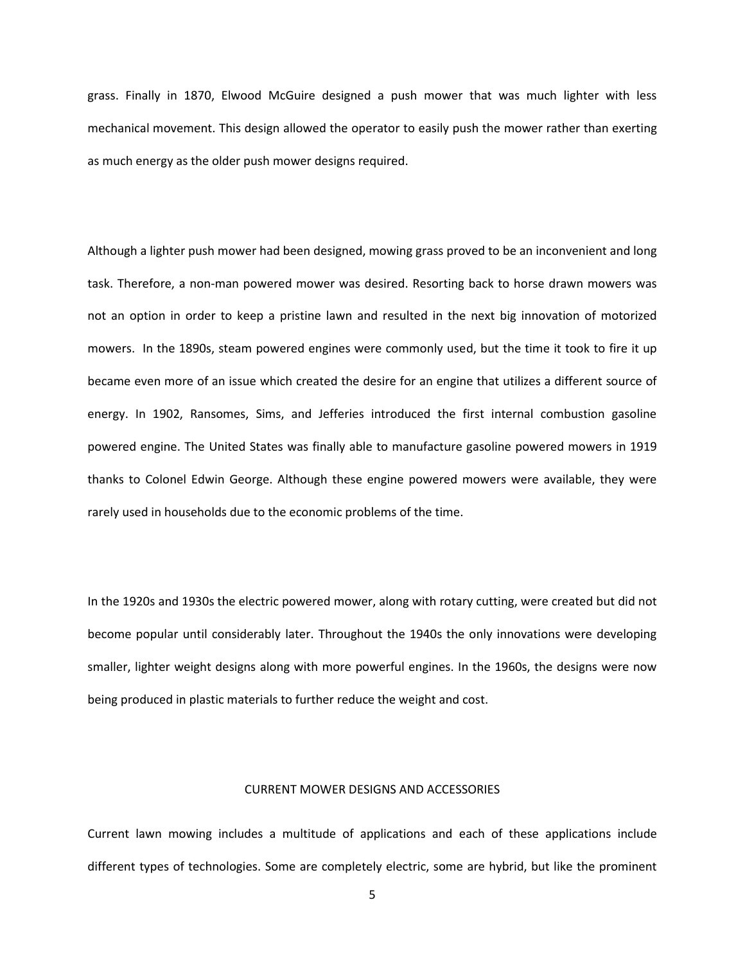grass. Finally in 1870, Elwood McGuire designed a push mower that was much lighter with less mechanical movement. This design allowed the operator to easily push the mower rather than exerting as much energy as the older push mower designs required.

Although a lighter push mower had been designed, mowing grass proved to be an inconvenient and long task. Therefore, a non-man powered mower was desired. Resorting back to horse drawn mowers was not an option in order to keep a pristine lawn and resulted in the next big innovation of motorized mowers. In the 1890s, steam powered engines were commonly used, but the time it took to fire it up became even more of an issue which created the desire for an engine that utilizes a different source of energy. In 1902, Ransomes, Sims, and Jefferies introduced the first internal combustion gasoline powered engine. The United States was finally able to manufacture gasoline powered mowers in 1919 thanks to Colonel Edwin George. Although these engine powered mowers were available, they were rarely used in households due to the economic problems of the time.

In the 1920s and 1930s the electric powered mower, along with rotary cutting, were created but did not become popular until considerably later. Throughout the 1940s the only innovations were developing smaller, lighter weight designs along with more powerful engines. In the 1960s, the designs were now being produced in plastic materials to further reduce the weight and cost.

## CURRENT MOWER DESIGNS AND ACCESSORIES

Current lawn mowing includes a multitude of applications and each of these applications include different types of technologies. Some are completely electric, some are hybrid, but like the prominent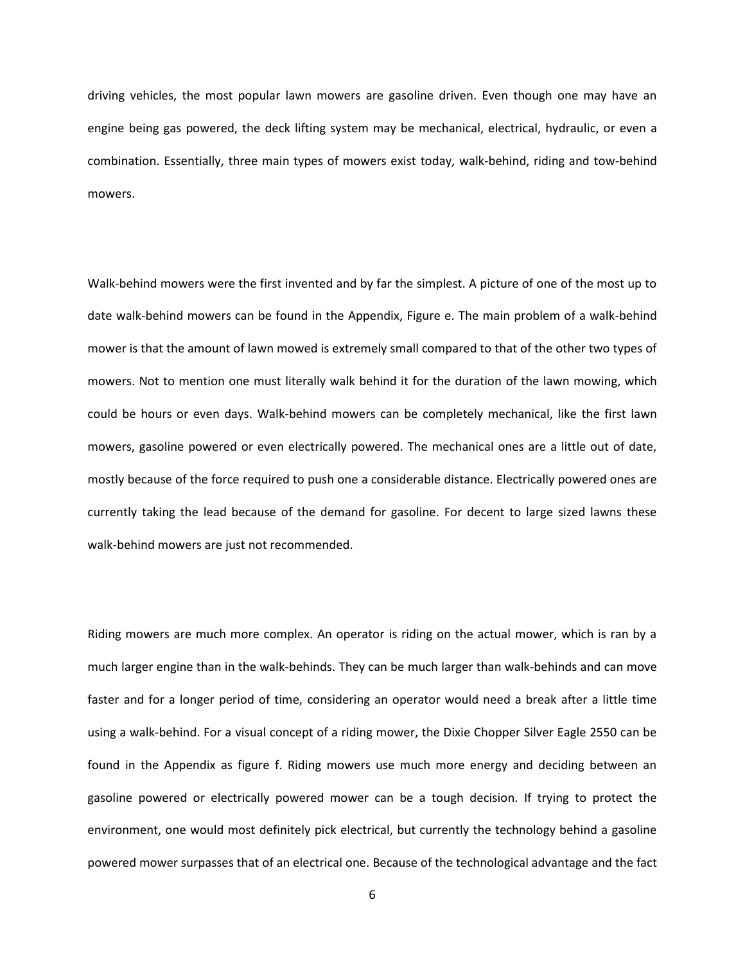driving vehicles, the most popular lawn mowers are gasoline driven. Even though one may have an engine being gas powered, the deck lifting system may be mechanical, electrical, hydraulic, or even a combination. Essentially, three main types of mowers exist today, walk-behind, riding and tow-behind mowers.

Walk-behind mowers were the first invented and by far the simplest. A picture of one of the most up to date walk-behind mowers can be found in the Appendix, Figure e. The main problem of a walk-behind mower is that the amount of lawn mowed is extremely small compared to that of the other two types of mowers. Not to mention one must literally walk behind it for the duration of the lawn mowing, which could be hours or even days. Walk-behind mowers can be completely mechanical, like the first lawn mowers, gasoline powered or even electrically powered. The mechanical ones are a little out of date, mostly because of the force required to push one a considerable distance. Electrically powered ones are currently taking the lead because of the demand for gasoline. For decent to large sized lawns these walk-behind mowers are just not recommended.

Riding mowers are much more complex. An operator is riding on the actual mower, which is ran by a much larger engine than in the walk-behinds. They can be much larger than walk-behinds and can move faster and for a longer period of time, considering an operator would need a break after a little time using a walk-behind. For a visual concept of a riding mower, the Dixie Chopper Silver Eagle 2550 can be found in the Appendix as figure f. Riding mowers use much more energy and deciding between an gasoline powered or electrically powered mower can be a tough decision. If trying to protect the environment, one would most definitely pick electrical, but currently the technology behind a gasoline powered mower surpasses that of an electrical one. Because of the technological advantage and the fact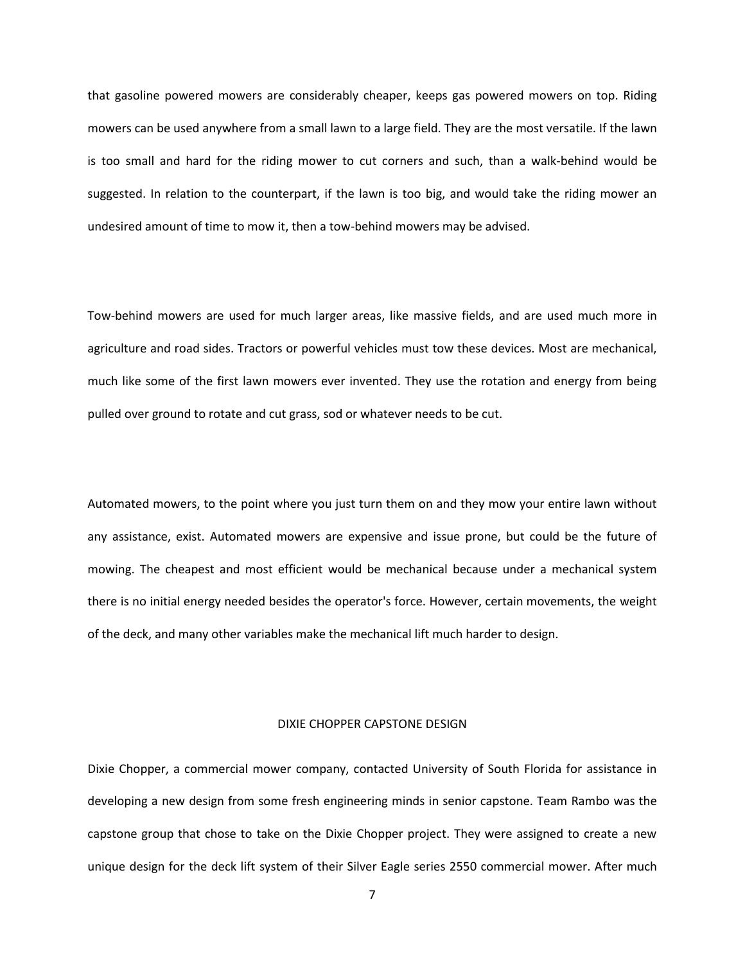that gasoline powered mowers are considerably cheaper, keeps gas powered mowers on top. Riding mowers can be used anywhere from a small lawn to a large field. They are the most versatile. If the lawn is too small and hard for the riding mower to cut corners and such, than a walk-behind would be suggested. In relation to the counterpart, if the lawn is too big, and would take the riding mower an undesired amount of time to mow it, then a tow-behind mowers may be advised.

Tow-behind mowers are used for much larger areas, like massive fields, and are used much more in agriculture and road sides. Tractors or powerful vehicles must tow these devices. Most are mechanical, much like some of the first lawn mowers ever invented. They use the rotation and energy from being pulled over ground to rotate and cut grass, sod or whatever needs to be cut.

Automated mowers, to the point where you just turn them on and they mow your entire lawn without any assistance, exist. Automated mowers are expensive and issue prone, but could be the future of mowing. The cheapest and most efficient would be mechanical because under a mechanical system there is no initial energy needed besides the operator's force. However, certain movements, the weight of the deck, and many other variables make the mechanical lift much harder to design.

#### DIXIE CHOPPER CAPSTONE DESIGN

Dixie Chopper, a commercial mower company, contacted University of South Florida for assistance in developing a new design from some fresh engineering minds in senior capstone. Team Rambo was the capstone group that chose to take on the Dixie Chopper project. They were assigned to create a new unique design for the deck lift system of their Silver Eagle series 2550 commercial mower. After much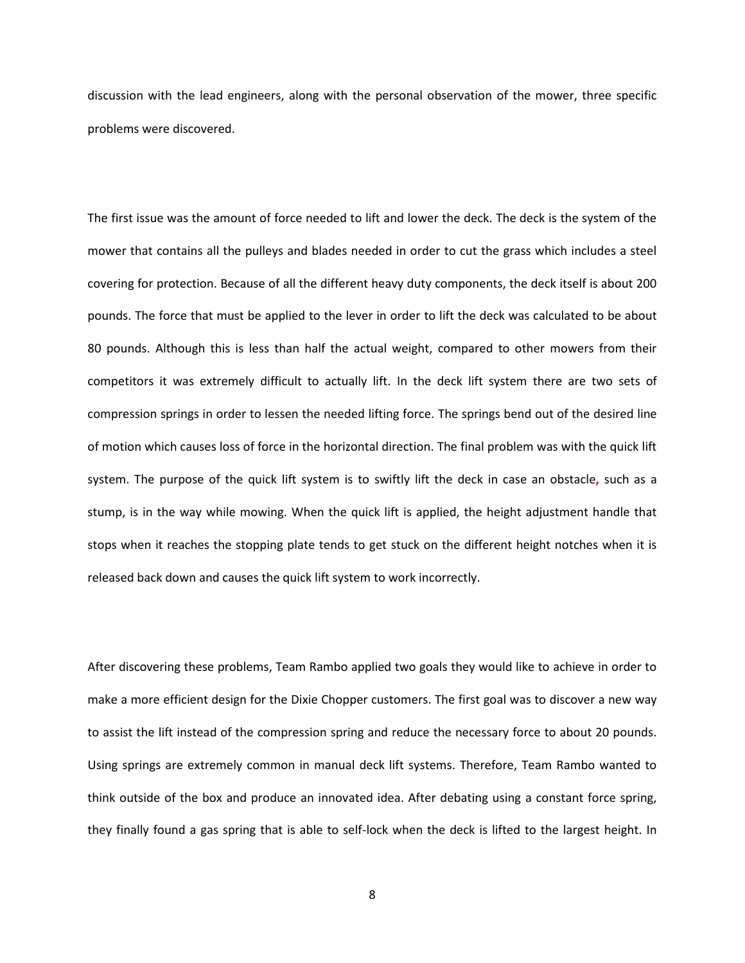discussion with the lead engineers, along with the personal observation of the mower, three specific problems were discovered.

The first issue was the amount of force needed to lift and lower the deck. The deck is the system of the mower that contains all the pulleys and blades needed in order to cut the grass which includes a steel covering for protection. Because of all the different heavy duty components, the deck itself is about 200 pounds. The force that must be applied to the lever in order to lift the deck was calculated to be about 80 pounds. Although this is less than half the actual weight, compared to other mowers from their competitors it was extremely difficult to actually lift. In the deck lift system there are two sets of compression springs in order to lessen the needed lifting force. The springs bend out of the desired line of motion which causes loss of force in the horizontal direction. The final problem was with the quick lift system. The purpose of the quick lift system is to swiftly lift the deck in case an obstacle**,** such as a stump, is in the way while mowing. When the quick lift is applied, the height adjustment handle that stops when it reaches the stopping plate tends to get stuck on the different height notches when it is released back down and causes the quick lift system to work incorrectly.

After discovering these problems, Team Rambo applied two goals they would like to achieve in order to make a more efficient design for the Dixie Chopper customers. The first goal was to discover a new way to assist the lift instead of the compression spring and reduce the necessary force to about 20 pounds. Using springs are extremely common in manual deck lift systems. Therefore, Team Rambo wanted to think outside of the box and produce an innovated idea. After debating using a constant force spring, they finally found a gas spring that is able to self-lock when the deck is lifted to the largest height. In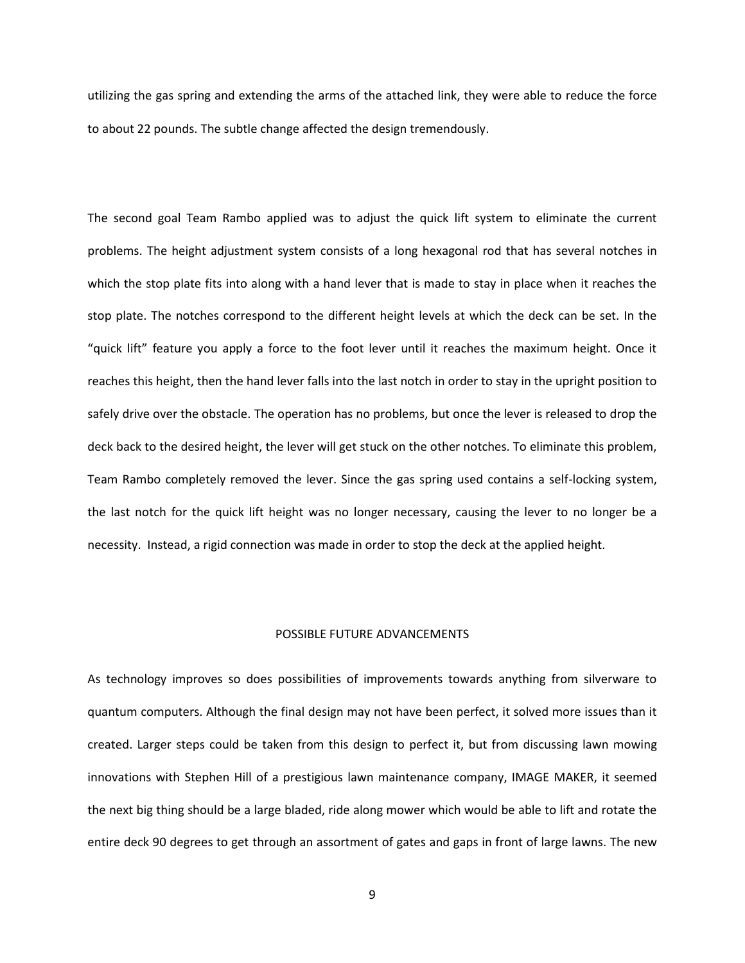utilizing the gas spring and extending the arms of the attached link, they were able to reduce the force to about 22 pounds. The subtle change affected the design tremendously.

The second goal Team Rambo applied was to adjust the quick lift system to eliminate the current problems. The height adjustment system consists of a long hexagonal rod that has several notches in which the stop plate fits into along with a hand lever that is made to stay in place when it reaches the stop plate. The notches correspond to the different height levels at which the deck can be set. In the "quick lift" feature you apply a force to the foot lever until it reaches the maximum height. Once it reaches this height, then the hand lever falls into the last notch in order to stay in the upright position to safely drive over the obstacle. The operation has no problems, but once the lever is released to drop the deck back to the desired height, the lever will get stuck on the other notches. To eliminate this problem, Team Rambo completely removed the lever. Since the gas spring used contains a self-locking system, the last notch for the quick lift height was no longer necessary, causing the lever to no longer be a necessity. Instead, a rigid connection was made in order to stop the deck at the applied height.

#### POSSIBLE FUTURE ADVANCEMENTS

As technology improves so does possibilities of improvements towards anything from silverware to quantum computers. Although the final design may not have been perfect, it solved more issues than it created. Larger steps could be taken from this design to perfect it, but from discussing lawn mowing innovations with Stephen Hill of a prestigious lawn maintenance company, IMAGE MAKER, it seemed the next big thing should be a large bladed, ride along mower which would be able to lift and rotate the entire deck 90 degrees to get through an assortment of gates and gaps in front of large lawns. The new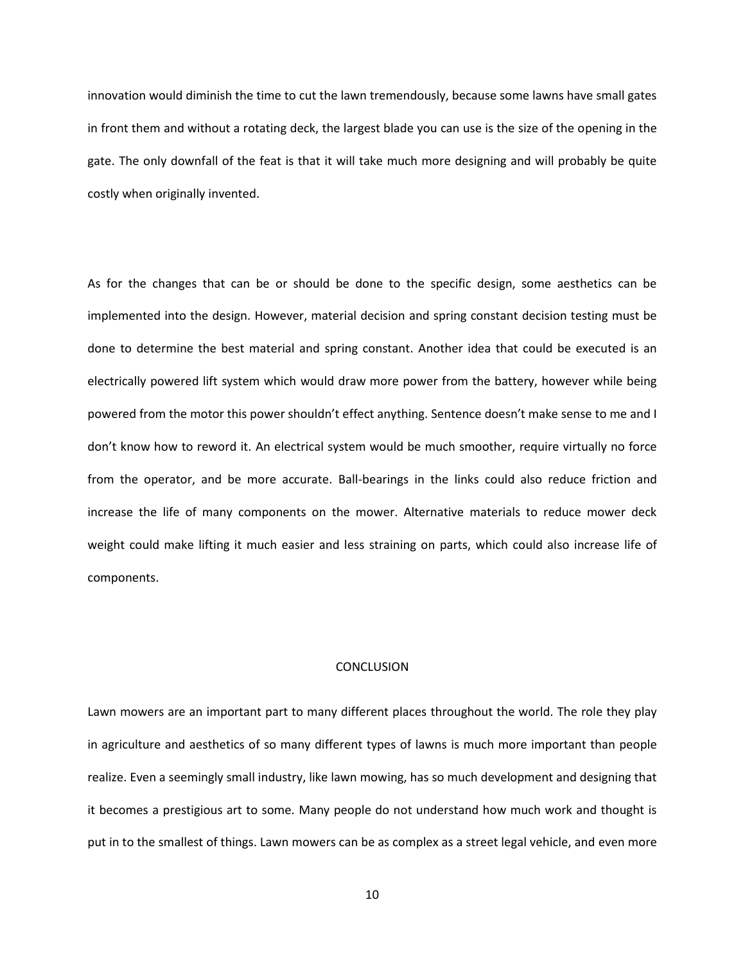innovation would diminish the time to cut the lawn tremendously, because some lawns have small gates in front them and without a rotating deck, the largest blade you can use is the size of the opening in the gate. The only downfall of the feat is that it will take much more designing and will probably be quite costly when originally invented.

As for the changes that can be or should be done to the specific design, some aesthetics can be implemented into the design. However, material decision and spring constant decision testing must be done to determine the best material and spring constant. Another idea that could be executed is an electrically powered lift system which would draw more power from the battery, however while being powered from the motor this power shouldn't effect anything. Sentence doesn't make sense to me and I don't know how to reword it. An electrical system would be much smoother, require virtually no force from the operator, and be more accurate. Ball-bearings in the links could also reduce friction and increase the life of many components on the mower. Alternative materials to reduce mower deck weight could make lifting it much easier and less straining on parts, which could also increase life of components.

#### **CONCLUSION**

Lawn mowers are an important part to many different places throughout the world. The role they play in agriculture and aesthetics of so many different types of lawns is much more important than people realize. Even a seemingly small industry, like lawn mowing, has so much development and designing that it becomes a prestigious art to some. Many people do not understand how much work and thought is put in to the smallest of things. Lawn mowers can be as complex as a street legal vehicle, and even more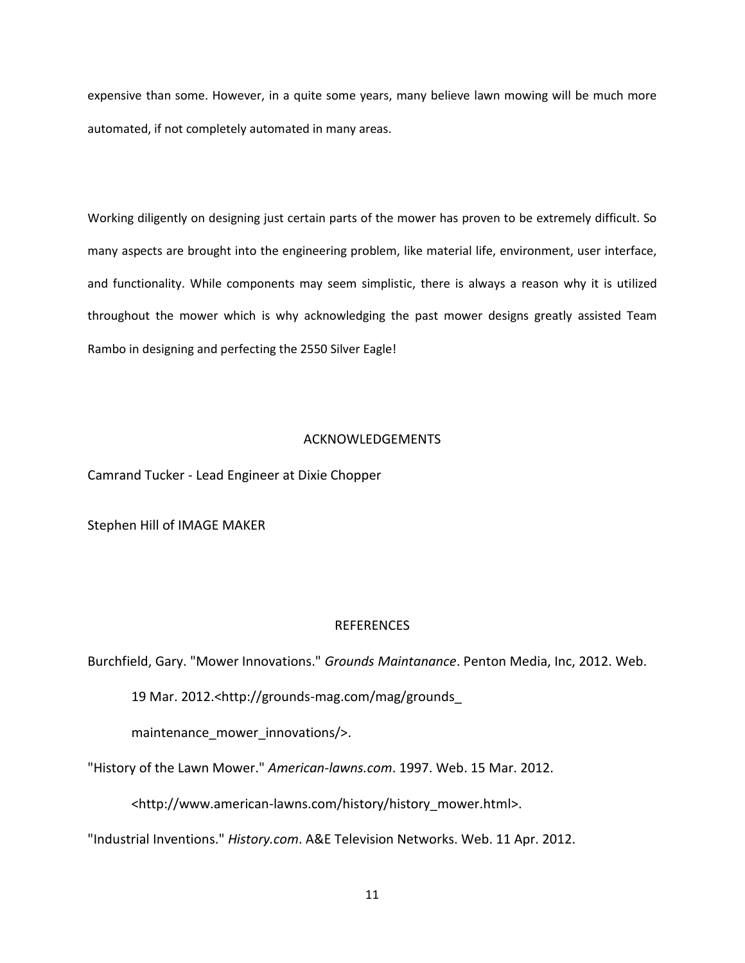expensive than some. However, in a quite some years, many believe lawn mowing will be much more automated, if not completely automated in many areas.

Working diligently on designing just certain parts of the mower has proven to be extremely difficult. So many aspects are brought into the engineering problem, like material life, environment, user interface, and functionality. While components may seem simplistic, there is always a reason why it is utilized throughout the mower which is why acknowledging the past mower designs greatly assisted Team Rambo in designing and perfecting the 2550 Silver Eagle!

## ACKNOWLEDGEMENTS

Camrand Tucker - Lead Engineer at Dixie Chopper

Stephen Hill of IMAGE MAKER

## REFERENCES

Burchfield, Gary. "Mower Innovations." *Grounds Maintanance*. Penton Media, Inc, 2012. Web.

19 Mar. 2012.<http://grounds-mag.com/mag/grounds\_

maintenance mower innovations/>.

"History of the Lawn Mower." *American-lawns.com*. 1997. Web. 15 Mar. 2012.

<http://www.american-lawns.com/history/history\_mower.html>.

"Industrial Inventions." *History.com*. A&E Television Networks. Web. 11 Apr. 2012.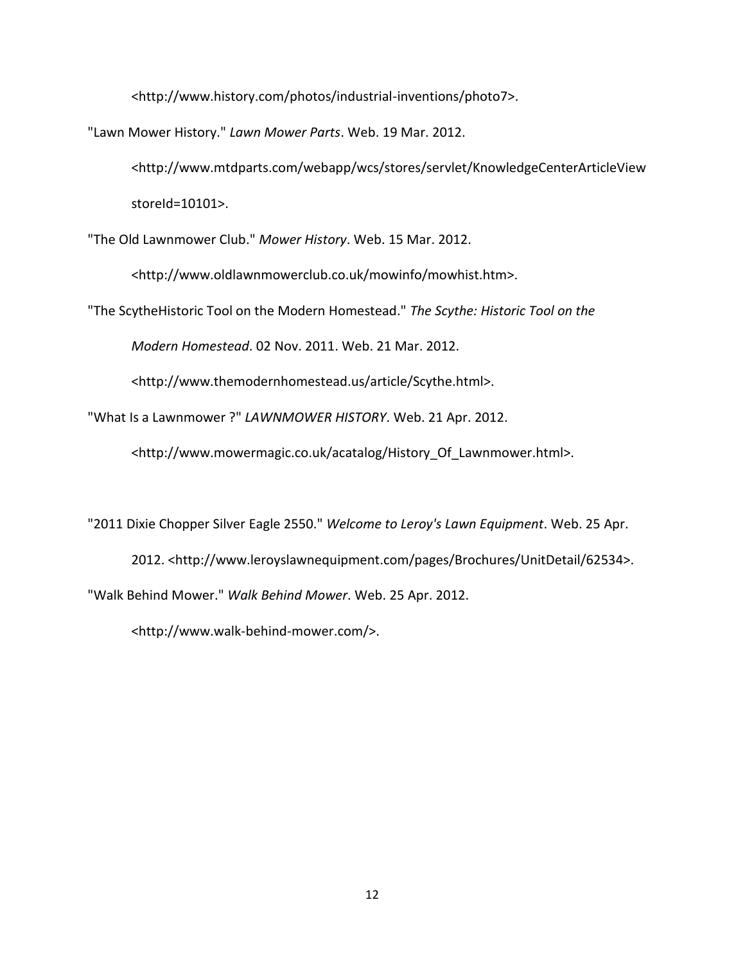<http://www.history.com/photos/industrial-inventions/photo7>.

"Lawn Mower History." *Lawn Mower Parts*. Web. 19 Mar. 2012.

<http://www.mtdparts.com/webapp/wcs/stores/servlet/KnowledgeCenterArticleView storeId=10101>.

"The Old Lawnmower Club." *Mower History*. Web. 15 Mar. 2012.

<http://www.oldlawnmowerclub.co.uk/mowinfo/mowhist.htm>.

"The ScytheHistoric Tool on the Modern Homestead." *The Scythe: Historic Tool on the*

*Modern Homestead*. 02 Nov. 2011. Web. 21 Mar. 2012.

<http://www.themodernhomestead.us/article/Scythe.html>.

"What Is a Lawnmower ?" *LAWNMOWER HISTORY*. Web. 21 Apr. 2012.

<http://www.mowermagic.co.uk/acatalog/History\_Of\_Lawnmower.html>.

"2011 Dixie Chopper Silver Eagle 2550." *Welcome to Leroy's Lawn Equipment*. Web. 25 Apr.

2012. <http://www.leroyslawnequipment.com/pages/Brochures/UnitDetail/62534>.

"Walk Behind Mower." *Walk Behind Mower*. Web. 25 Apr. 2012.

<http://www.walk-behind-mower.com/>.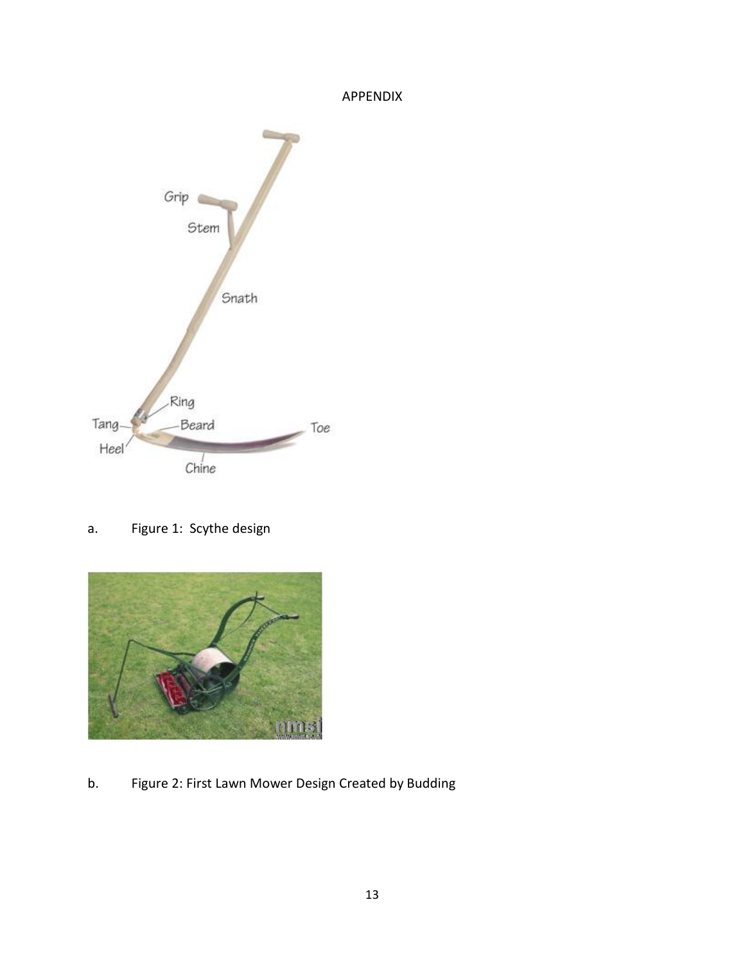# APPENDIX



a. Figure 1: Scythe design



b. Figure 2: First Lawn Mower Design Created by Budding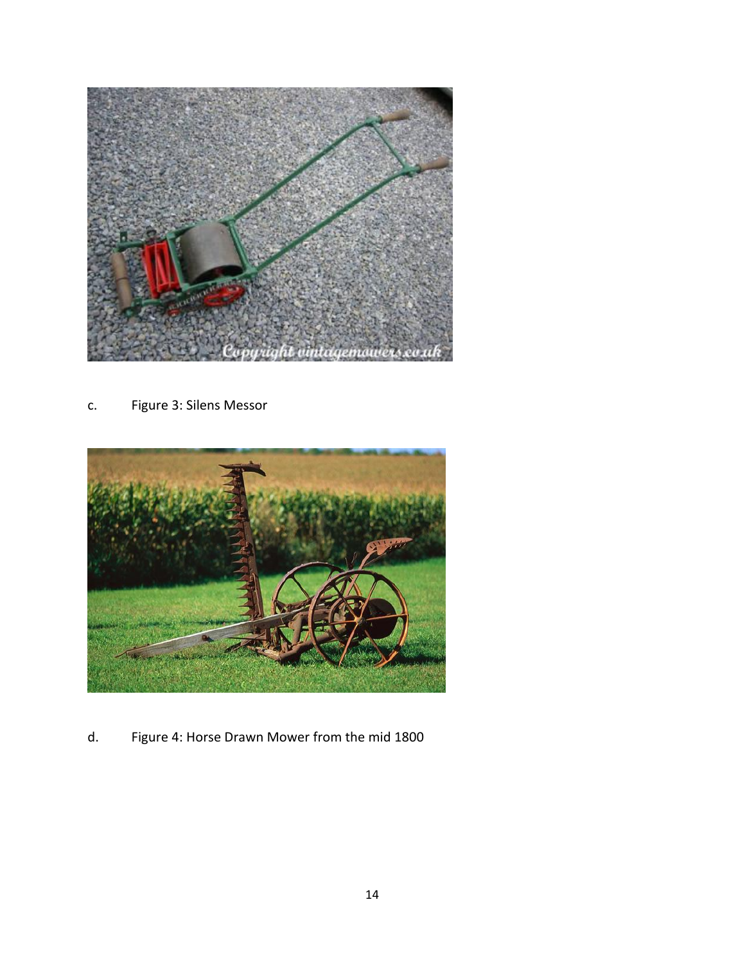

c. Figure 3: Silens Messor



d. Figure 4: Horse Drawn Mower from the mid 1800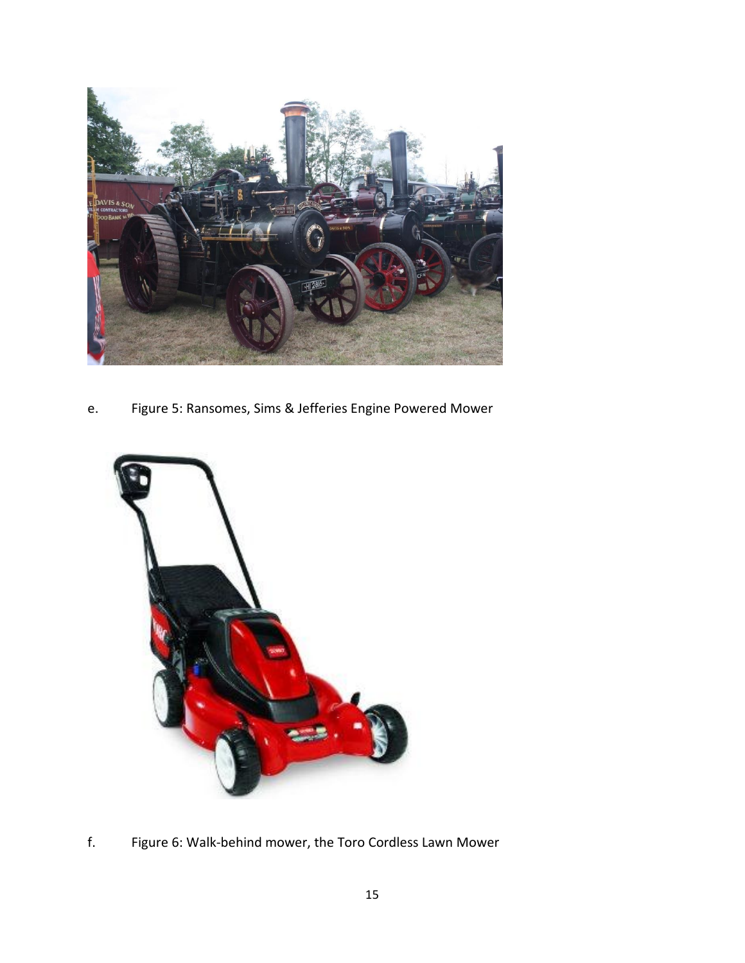

e. Figure 5: Ransomes, Sims & Jefferies Engine Powered Mower



f. Figure 6: Walk-behind mower, the Toro Cordless Lawn Mower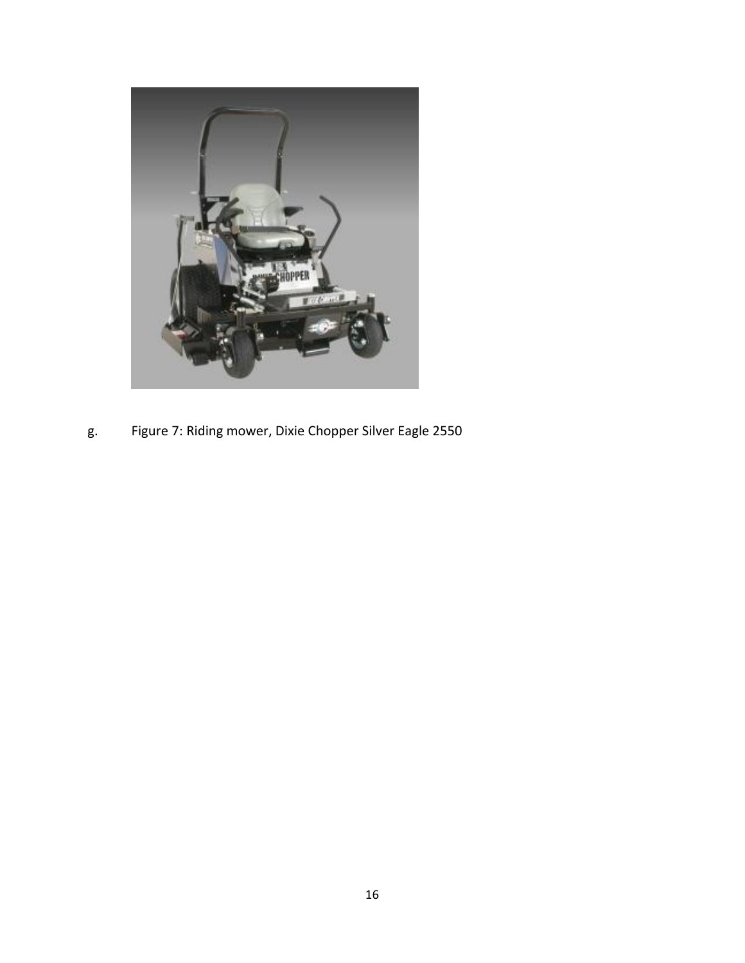

g. Figure 7: Riding mower, Dixie Chopper Silver Eagle 2550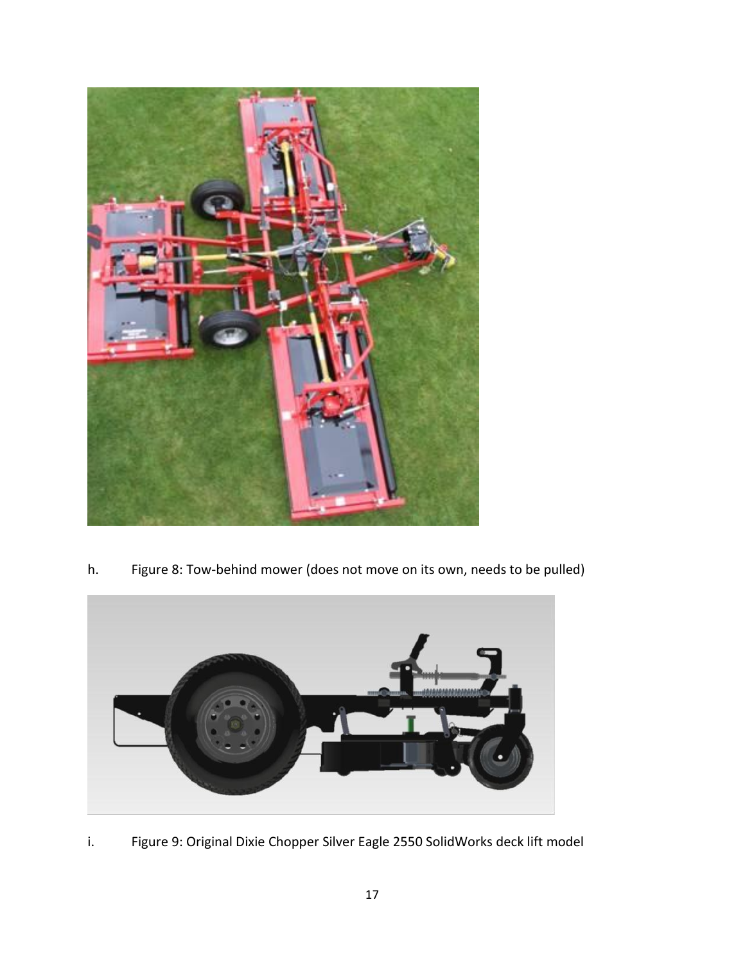

h. Figure 8: Tow-behind mower (does not move on its own, needs to be pulled)



i. Figure 9: Original Dixie Chopper Silver Eagle 2550 SolidWorks deck lift model